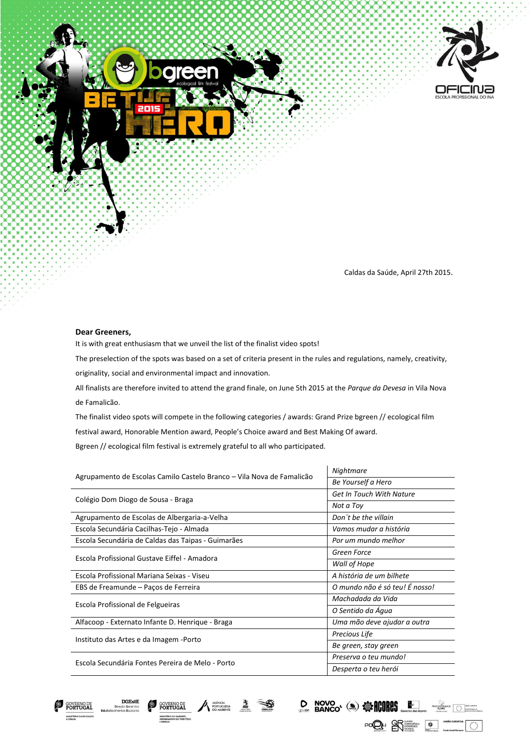



Caldas da Saúde, April 27th 2015.

**NOVO (3) STARBORES** 

POOH RESERVED UNIAO EUROPEIA

PROCONVERGENCIA **Processing Contract Contract ACORES** 

 $\circ$ 

## **Dear Greeners,**

**DGEstE** 

**GOVERNO DE**<br>**PORTUGAI** 

It is with great enthusiasm that we unveil the list of the finalist video spots!

The preselection of the spots was based on a set of criteria present in the rules and regulations, namely, creativity,

originality, social and environmental impact and innovation.

All finalists are therefore invited to attend the grand finale, on June 5th 2015 at the *Parque da Devesa* in Vila Nova de Famalicão.

The finalist video spots will compete in the following categories / awards: Grand Prize bgreen // ecological film festival award, Honorable Mention award, People's Choice award and Best Making Of award. Bgreen // ecological film festival is extremely grateful to all who participated.

| Agrupamento de Escolas Camilo Castelo Branco - Vila Nova de Famalicão | Nightmare                       |
|-----------------------------------------------------------------------|---------------------------------|
|                                                                       | Be Yourself a Hero              |
| Colégio Dom Diogo de Sousa - Braga                                    | <b>Get In Touch With Nature</b> |
|                                                                       | Not a Toy                       |
| Agrupamento de Escolas de Albergaria-a-Velha                          | Don't be the villain            |
| Escola Secundária Cacilhas-Tejo - Almada                              | Vamos mudar a história          |
| Escola Secundária de Caldas das Taipas - Guimarães                    | Por um mundo melhor             |
| Escola Profissional Gustave Eiffel - Amadora                          | Green Force                     |
|                                                                       | Wall of Hope                    |
| Escola Profissional Mariana Seixas - Viseu                            | A história de um bilhete        |
| EBS de Freamunde - Paços de Ferreira                                  | O mundo não é só teu! É nosso!  |
| Escola Profissional de Felgueiras                                     | Machadada da Vida               |
|                                                                       | O Sentido da Água               |
| Alfacoop - Externato Infante D. Henrique - Braga                      | Uma mão deve ajudar a outra     |
| Instituto das Artes e da Imagem -Porto                                | Precious Life                   |
|                                                                       | Be green, stay green            |
| Escola Secundária Fontes Pereira de Melo - Porto                      | Preserva o teu mundo!           |
|                                                                       | Desperta o teu herói            |

AGÊNCIA